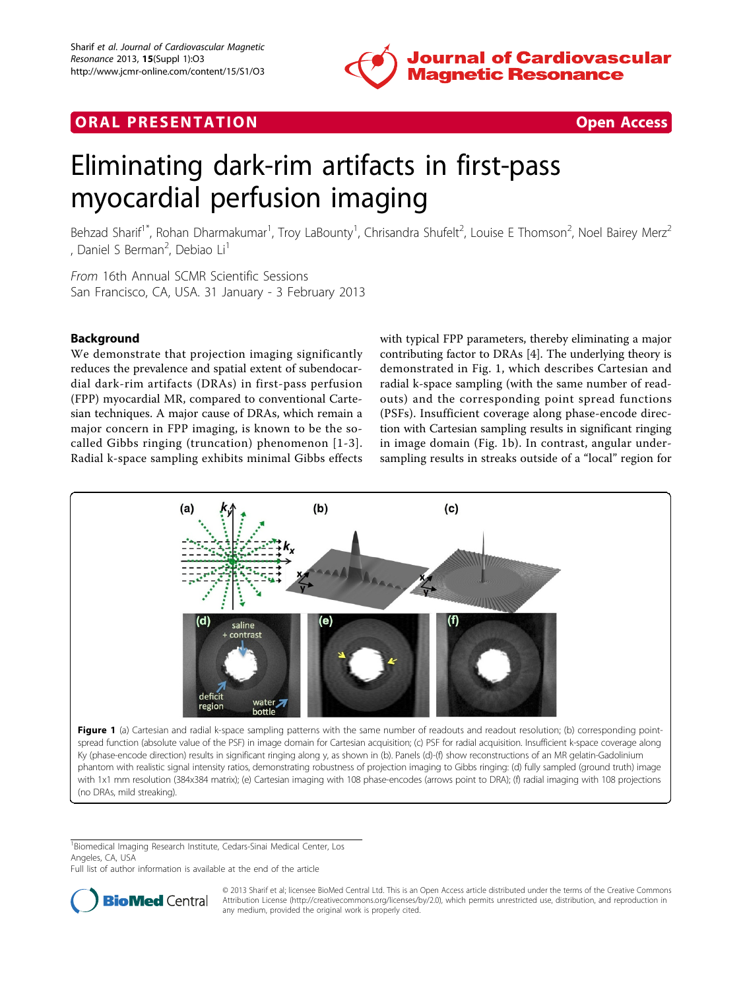

# <span id="page-0-0"></span>**ORAL PRESENTATION CONSUMING ACCESS**



# Eliminating dark-rim artifacts in first-pass myocardial perfusion imaging

Behzad Sharif<sup>1\*</sup>, Rohan Dharmakumar<sup>1</sup>, Troy LaBounty<sup>1</sup>, Chrisandra Shufelt<sup>2</sup>, Louise E Thomson<sup>2</sup>, Noel Bairey Merz<sup>2</sup> , Daniel S Berman<sup>2</sup>, Debiao Li<sup>1</sup>

From 16th Annual SCMR Scientific Sessions San Francisco, CA, USA. 31 January - 3 February 2013

# Background

We demonstrate that projection imaging significantly reduces the prevalence and spatial extent of subendocardial dark-rim artifacts (DRAs) in first-pass perfusion (FPP) myocardial MR, compared to conventional Cartesian techniques. A major cause of DRAs, which remain a major concern in FPP imaging, is known to be the socalled Gibbs ringing (truncation) phenomenon [[1-3\]](#page-1-0). Radial k-space sampling exhibits minimal Gibbs effects

with typical FPP parameters, thereby eliminating a major contributing factor to DRAs [\[4](#page-1-0)]. The underlying theory is demonstrated in Fig. 1, which describes Cartesian and radial k-space sampling (with the same number of readouts) and the corresponding point spread functions (PSFs). Insufficient coverage along phase-encode direction with Cartesian sampling results in significant ringing in image domain (Fig. 1b). In contrast, angular undersampling results in streaks outside of a "local" region for



with 1x1 mm resolution (384x384 matrix); (e) Cartesian imaging with 108 phase-encodes (arrows point to DRA); (f) radial imaging with 108 projections (no DRAs, mild streaking).

<sup>1</sup>Biomedical Imaging Research Institute, Cedars-Sinai Medical Center, Los Angeles, CA, USA

Full list of author information is available at the end of the article



© 2013 Sharif et al; licensee BioMed Central Ltd. This is an Open Access article distributed under the terms of the Creative Commons Attribution License [\(http://creativecommons.org/licenses/by/2.0](http://creativecommons.org/licenses/by/2.0)), which permits unrestricted use, distribution, and reproduction in any medium, provided the original work is properly cited.